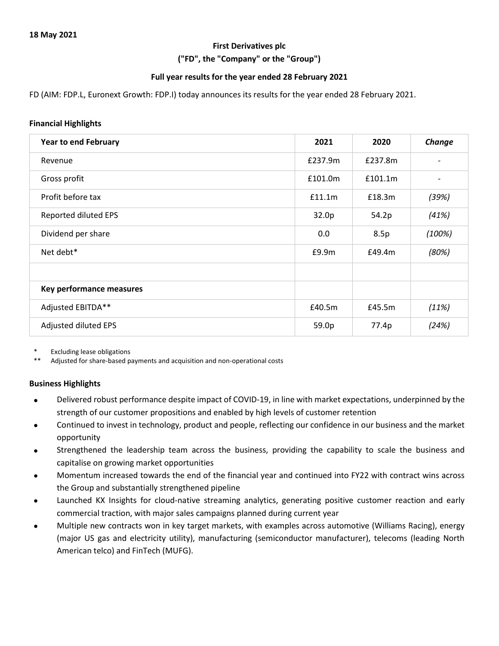#### **First Derivatives plc**

**("FD", the "Company" or the "Group")**

#### **Full year results for the year ended 28 February 2021**

FD (AIM: FDP.L, Euronext Growth: FDP.I) today announces its results for the year ended 28 February 2021.

#### **Financial Highlights**

| <b>Year to end February</b> | 2021    | 2020    | Change |
|-----------------------------|---------|---------|--------|
| Revenue                     | £237.9m | £237.8m |        |
| Gross profit                | £101.0m | £101.1m |        |
| Profit before tax           | f11.1m  | £18.3m  | (39%)  |
| Reported diluted EPS        | 32.0p   | 54.2p   | (41%)  |
| Dividend per share          | 0.0     | 8.5p    | (100%) |
| Net debt*                   | £9.9m   | £49.4m  | (80%)  |
|                             |         |         |        |
| Key performance measures    |         |         |        |
| Adjusted EBITDA**           | £40.5m  | £45.5m  | (11%)  |
| Adjusted diluted EPS        | 59.0p   | 77.4p   | (24%)  |

**Excluding lease obligations** 

Adjusted for share-based payments and acquisition and non-operational costs

#### **Business Highlights**

- Delivered robust performance despite impact of COVID-19, in line with market expectations, underpinned by the strength of our customer propositions and enabled by high levels of customer retention
- Continued to invest in technology, product and people, reflecting our confidence in our business and the market opportunity
- Strengthened the leadership team across the business, providing the capability to scale the business and capitalise on growing market opportunities
- Momentum increased towards the end of the financial year and continued into FY22 with contract wins across the Group and substantially strengthened pipeline
- Launched KX Insights for cloud-native streaming analytics, generating positive customer reaction and early commercial traction, with major sales campaigns planned during current year
- Multiple new contracts won in key target markets, with examples across automotive (Williams Racing), energy (major US gas and electricity utility), manufacturing (semiconductor manufacturer), telecoms (leading North American telco) and FinTech (MUFG).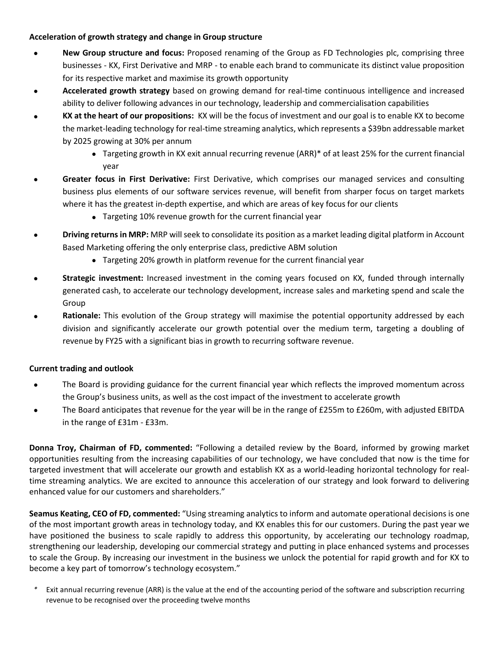#### **Acceleration of growth strategy and change in Group structure**

- **New Group structure and focus:** Proposed renaming of the Group as FD Technologies plc, comprising three businesses - KX, First Derivative and MRP - to enable each brand to communicate its distinct value proposition for its respective market and maximise its growth opportunity
- **Accelerated growth strategy** based on growing demand for real-time continuous intelligence and increased ability to deliver following advances in our technology, leadership and commercialisation capabilities
- **KX at the heart of our propositions:** KX will be the focus of investment and our goal is to enable KX to become the market-leading technology for real-time streaming analytics, which represents a \$39bn addressable market by 2025 growing at 30% per annum
	- • Targeting growth in KX exit annual recurring revenue (ARR)\* of at least 25% for the current financial year
- **Greater focus in First Derivative:** First Derivative, which comprises our managed services and consulting business plus elements of our software services revenue, will benefit from sharper focus on target markets where it has the greatest in-depth expertise, and which are areas of key focus for our clients
	- Targeting 10% revenue growth for the current financial year
- **Driving returns in MRP:** MRP will seek to consolidate its position as a market leading digital platform in Account Based Marketing offering the only enterprise class, predictive ABM solution
	- Targeting 20% growth in platform revenue for the current financial year
- **Strategic investment:** Increased investment in the coming years focused on KX, funded through internally generated cash, to accelerate our technology development, increase sales and marketing spend and scale the Group
- **Rationale:** This evolution of the Group strategy will maximise the potential opportunity addressed by each division and significantly accelerate our growth potential over the medium term, targeting a doubling of revenue by FY25 with a significant bias in growth to recurring software revenue.

#### **Current trading and outlook**

- The Board is providing guidance for the current financial year which reflects the improved momentum across the Group's business units, as well as the cost impact of the investment to accelerate growth
- The Board anticipates that revenue for the year will be in the range of £255m to £260m, with adjusted EBITDA in the range of £31m - £33m.

**Donna Troy, Chairman of FD, commented:** "Following a detailed review by the Board, informed by growing market opportunities resulting from the increasing capabilities of our technology, we have concluded that now is the time for targeted investment that will accelerate our growth and establish KX as a world-leading horizontal technology for realtime streaming analytics. We are excited to announce this acceleration of our strategy and look forward to delivering enhanced value for our customers and shareholders."

**Seamus Keating, CEO of FD, commented:** "Using streaming analytics to inform and automate operational decisions is one of the most important growth areas in technology today, and KX enables this for our customers. During the past year we have positioned the business to scale rapidly to address this opportunity, by accelerating our technology roadmap, strengthening our leadership, developing our commercial strategy and putting in place enhanced systems and processes to scale the Group. By increasing our investment in the business we unlock the potential for rapid growth and for KX to become a key part of tomorrow's technology ecosystem."

Exit annual recurring revenue (ARR) is the value at the end of the accounting period of the software and subscription recurring revenue to be recognised over the proceeding twelve months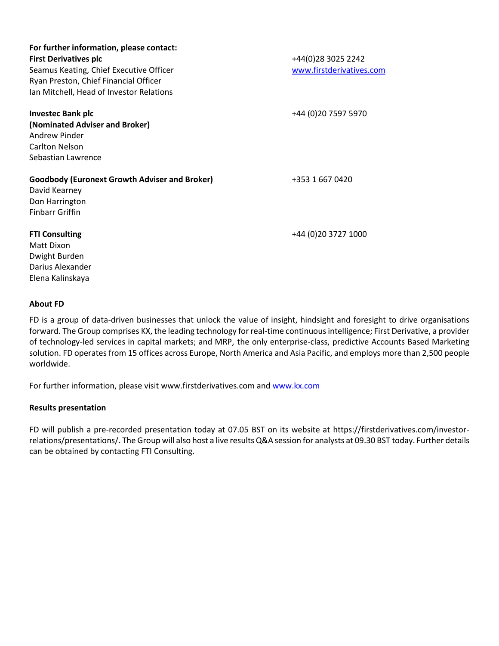| For further information, please contact:<br><b>First Derivatives plc</b><br>Seamus Keating, Chief Executive Officer<br>Ryan Preston, Chief Financial Officer | +44(0)28 3025 2242<br>www.firstderivatives.com |
|--------------------------------------------------------------------------------------------------------------------------------------------------------------|------------------------------------------------|
| Ian Mitchell, Head of Investor Relations                                                                                                                     |                                                |
| <b>Investec Bank plc</b><br>(Nominated Adviser and Broker)<br>Andrew Pinder<br><b>Carlton Nelson</b><br>Sebastian Lawrence                                   | +44 (0)20 7597 5970                            |
| <b>Goodbody (Euronext Growth Adviser and Broker)</b><br>David Kearney<br>Don Harrington<br><b>Finbarr Griffin</b>                                            | +353 1 667 0420                                |
| <b>FTI Consulting</b><br>Matt Dixon<br>Dwight Burden<br>Darius Alexander<br>Elena Kalinskaya                                                                 | +44 (0) 20 3727 1000                           |

#### **About FD**

FD is a group of data-driven businesses that unlock the value of insight, hindsight and foresight to drive organisations forward. The Group comprises KX, the leading technology for real-time continuous intelligence; First Derivative, a provider of technology-led services in capital markets; and MRP, the only enterprise-class, predictive Accounts Based Marketing solution. FD operates from 15 offices across Europe, North America and Asia Pacific, and employs more than 2,500 people worldwide.

For further information, please visi[t www.firstderivatives.com](http://www.firstderivatives.com/) an[d www.kx.com](http://www.kx.com/)

#### **Results presentation**

FD will publish a pre-recorded presentation today at 07.05 BST on its website at https://firstderivatives.com/investorrelations/presentations/. The Group will also host a live results Q&A session for analysts at 09.30 BST today. Further details can be obtained by contacting FTI Consulting.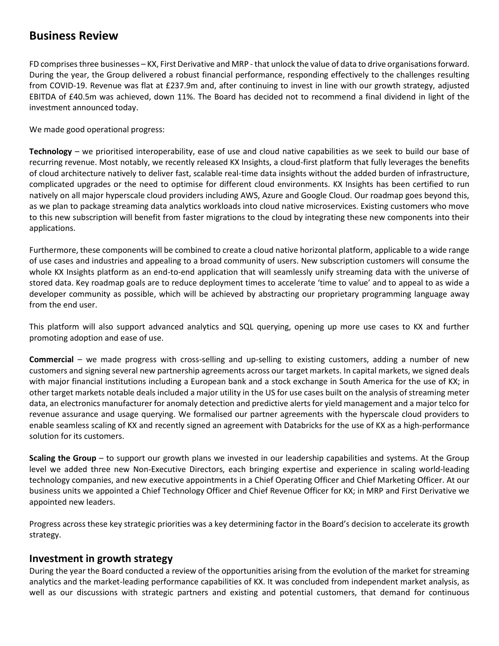# **Business Review**

FD comprises three businesses – KX, First Derivative and MRP - that unlock the value of data to drive organisations forward. During the year, the Group delivered a robust financial performance, responding effectively to the challenges resulting from COVID-19. Revenue was flat at £237.9m and, after continuing to invest in line with our growth strategy, adjusted EBITDA of £40.5m was achieved, down 11%. The Board has decided not to recommend a final dividend in light of the investment announced today.

We made good operational progress:

**Technology** – we prioritised interoperability, ease of use and cloud native capabilities as we seek to build our base of recurring revenue. Most notably, we recently released KX Insights, a cloud-first platform that fully leverages the benefits of cloud architecture natively to deliver fast, scalable real-time data insights without the added burden of infrastructure, complicated upgrades or the need to optimise for different cloud environments. KX Insights has been certified to run natively on all major hyperscale cloud providers including AWS, Azure and Google Cloud. Our roadmap goes beyond this, as we plan to package streaming data analytics workloads into cloud native microservices. Existing customers who move to this new subscription will benefit from faster migrations to the cloud by integrating these new components into their applications.

Furthermore, these components will be combined to create a cloud native horizontal platform, applicable to a wide range of use cases and industries and appealing to a broad community of users. New subscription customers will consume the whole KX Insights platform as an end-to-end application that will seamlessly unify streaming data with the universe of stored data. Key roadmap goals are to reduce deployment times to accelerate 'time to value' and to appeal to as wide a developer community as possible, which will be achieved by abstracting our proprietary programming language away from the end user.

This platform will also support advanced analytics and SQL querying, opening up more use cases to KX and further promoting adoption and ease of use.

**Commercial** – we made progress with cross-selling and up-selling to existing customers, adding a number of new customers and signing several new partnership agreements across our target markets. In capital markets, we signed deals with major financial institutions including a European bank and a stock exchange in South America for the use of KX; in other target markets notable deals included a major utility in the US for use cases built on the analysis of streaming meter data, an electronics manufacturer for anomaly detection and predictive alerts for yield management and a major telco for revenue assurance and usage querying. We formalised our partner agreements with the hyperscale cloud providers to enable seamless scaling of KX and recently signed an agreement with Databricks for the use of KX as a high-performance solution for its customers.

**Scaling the Group** – to support our growth plans we invested in our leadership capabilities and systems. At the Group level we added three new Non-Executive Directors, each bringing expertise and experience in scaling world-leading technology companies, and new executive appointments in a Chief Operating Officer and Chief Marketing Officer. At our business units we appointed a Chief Technology Officer and Chief Revenue Officer for KX; in MRP and First Derivative we appointed new leaders.

Progress across these key strategic priorities was a key determining factor in the Board's decision to accelerate its growth strategy.

### **Investment in growth strategy**

During the year the Board conducted a review of the opportunities arising from the evolution of the market for streaming analytics and the market-leading performance capabilities of KX. It was concluded from independent market analysis, as well as our discussions with strategic partners and existing and potential customers, that demand for continuous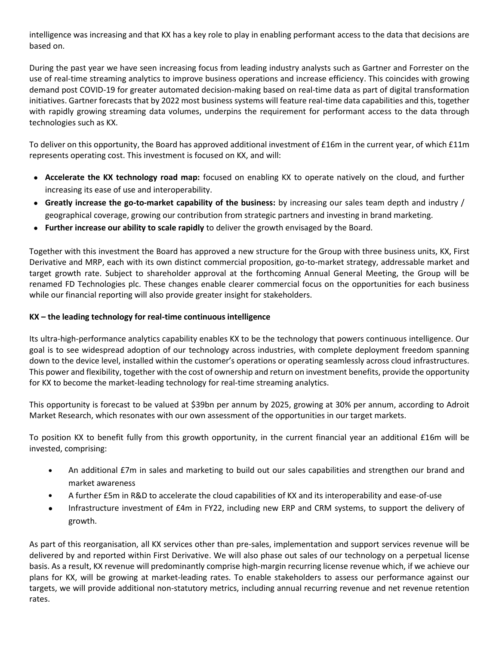intelligence was increasing and that KX has a key role to play in enabling performant access to the data that decisions are based on.

During the past year we have seen increasing focus from leading industry analysts such as Gartner and Forrester on the use of real-time streaming analytics to improve business operations and increase efficiency. This coincides with growing demand post COVID-19 for greater automated decision-making based on real-time data as part of digital transformation initiatives. Gartner forecasts that by 2022 most business systems will feature real-time data capabilities and this, together with rapidly growing streaming data volumes, underpins the requirement for performant access to the data through technologies such as KX.

To deliver on this opportunity, the Board has approved additional investment of £16m in the current year, of which £11m represents operating cost. This investment is focused on KX, and will:

- **Accelerate the KX technology road map:** focused on enabling KX to operate natively on the cloud, and further increasing its ease of use and interoperability.
- **Greatly increase the go-to-market capability of the business:** by increasing our sales team depth and industry / geographical coverage, growing our contribution from strategic partners and investing in brand marketing.
- **Further increase our ability to scale rapidly** to deliver the growth envisaged by the Board.

Together with this investment the Board has approved a new structure for the Group with three business units, KX, First Derivative and MRP, each with its own distinct commercial proposition, go-to-market strategy, addressable market and target growth rate. Subject to shareholder approval at the forthcoming Annual General Meeting, the Group will be renamed FD Technologies plc. These changes enable clearer commercial focus on the opportunities for each business while our financial reporting will also provide greater insight for stakeholders.

#### **KX – the leading technology for real-time continuous intelligence**

Its ultra-high-performance analytics capability enables KX to be the technology that powers continuous intelligence. Our goal is to see widespread adoption of our technology across industries, with complete deployment freedom spanning down to the device level, installed within the customer's operations or operating seamlessly across cloud infrastructures. This power and flexibility, together with the cost of ownership and return on investment benefits, provide the opportunity for KX to become the market-leading technology for real-time streaming analytics.

This opportunity is forecast to be valued at \$39bn per annum by 2025, growing at 30% per annum, according to Adroit Market Research, which resonates with our own assessment of the opportunities in our target markets.

To position KX to benefit fully from this growth opportunity, in the current financial year an additional £16m will be invested, comprising:

- An additional £7m in sales and marketing to build out our sales capabilities and strengthen our brand and market awareness
- A further £5m in R&D to accelerate the cloud capabilities of KX and its interoperability and ease-of-use
- Infrastructure investment of £4m in FY22, including new ERP and CRM systems, to support the delivery of growth.

As part of this reorganisation, all KX services other than pre-sales, implementation and support services revenue will be delivered by and reported within First Derivative. We will also phase out sales of our technology on a perpetual license basis. As a result, KX revenue will predominantly comprise high-margin recurring license revenue which, if we achieve our plans for KX, will be growing at market-leading rates. To enable stakeholders to assess our performance against our targets, we will provide additional non-statutory metrics, including annual recurring revenue and net revenue retention rates.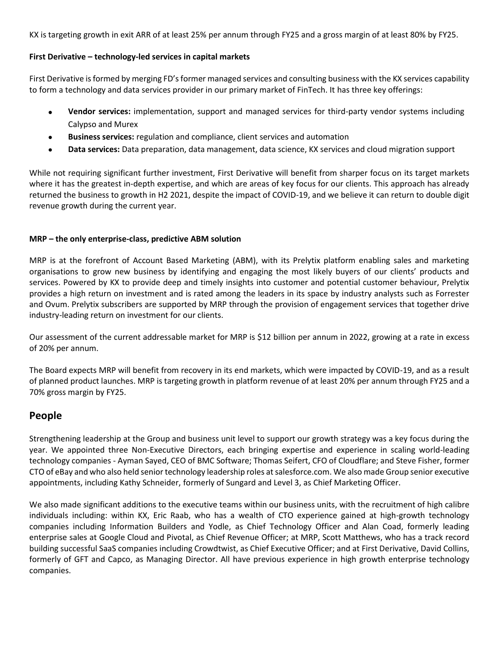KX is targeting growth in exit ARR of at least 25% per annum through FY25 and a gross margin of at least 80% by FY25.

#### **First Derivative – technology-led services in capital markets**

First Derivative is formed by merging FD's former managed services and consulting business with the KX services capability to form a technology and data services provider in our primary market of FinTech. It has three key offerings:

- **Vendor services:** implementation, support and managed services for third-party vendor systems including Calypso and Murex
- **Business services:** regulation and compliance, client services and automation
- **Data services:** Data preparation, data management, data science, KX services and cloud migration support

While not requiring significant further investment, First Derivative will benefit from sharper focus on its target markets where it has the greatest in-depth expertise, and which are areas of key focus for our clients. This approach has already returned the business to growth in H2 2021, despite the impact of COVID-19, and we believe it can return to double digit revenue growth during the current year.

#### **MRP – the only enterprise-class, predictive ABM solution**

MRP is at the forefront of Account Based Marketing (ABM), with its Prelytix platform enabling sales and marketing organisations to grow new business by identifying and engaging the most likely buyers of our clients' products and services. Powered by KX to provide deep and timely insights into customer and potential customer behaviour, Prelytix provides a high return on investment and is rated among the leaders in its space by industry analysts such as Forrester and Ovum. Prelytix subscribers are supported by MRP through the provision of engagement services that together drive industry-leading return on investment for our clients.

Our assessment of the current addressable market for MRP is \$12 billion per annum in 2022, growing at a rate in excess of 20% per annum.

The Board expects MRP will benefit from recovery in its end markets, which were impacted by COVID-19, and as a result of planned product launches. MRP is targeting growth in platform revenue of at least 20% per annum through FY25 and a 70% gross margin by FY25.

## **People**

Strengthening leadership at the Group and business unit level to support our growth strategy was a key focus during the year. We appointed three Non-Executive Directors, each bringing expertise and experience in scaling world-leading technology companies - Ayman Sayed, CEO of BMC Software; Thomas Seifert, CFO of Cloudflare; and Steve Fisher, former CTO of eBay and who also held senior technology leadership roles at salesforce.com. We also made Group senior executive appointments, including Kathy Schneider, formerly of Sungard and Level 3, as Chief Marketing Officer.

We also made significant additions to the executive teams within our business units, with the recruitment of high calibre individuals including: within KX, Eric Raab, who has a wealth of CTO experience gained at high-growth technology companies including Information Builders and Yodle, as Chief Technology Officer and Alan Coad, formerly leading enterprise sales at Google Cloud and Pivotal, as Chief Revenue Officer; at MRP, Scott Matthews, who has a track record building successful SaaS companies including Crowdtwist, as Chief Executive Officer; and at First Derivative, David Collins, formerly of GFT and Capco, as Managing Director. All have previous experience in high growth enterprise technology companies.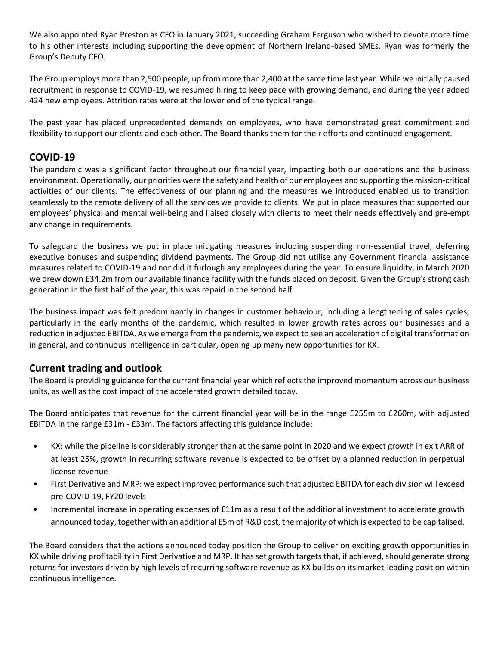We also appointed Ryan Preston as CFO in January 2021, succeeding Graham Ferguson who wished to devote more time to his other interests including supporting the development of Northern Ireland-based SMEs. Ryan was formerly the Group's Deputy CFO.

The Group employs more than 2,500 people, up from more than 2,400 at the same time last year. While we initially paused recruitment in response to COVID-19, we resumed hiring to keep pace with growing demand, and during the year added 424 new employees. Attrition rates were at the lower end of the typical range.

The past year has placed unprecedented demands on employees, who have demonstrated great commitment and flexibility to support our clients and each other. The Board thanks them for their efforts and continued engagement.

# **COVID-19**

The pandemic was a significant factor throughout our financial year, impacting both our operations and the business environment. Operationally, our priorities were the safety and health of our employees and supporting the mission-critical activities of our clients. The effectiveness of our planning and the measures we introduced enabled us to transition seamlessly to the remote delivery of all the services we provide to clients. We put in place measures that supported our employees' physical and mental well-being and liaised closely with clients to meet their needs effectively and pre-empt any change in requirements.

To safeguard the business we put in place mitigating measures including suspending non-essential travel, deferring executive bonuses and suspending dividend payments. The Group did not utilise any Government financial assistance measures related to COVID-19 and nor did it furlough any employees during the year. To ensure liquidity, in March 2020 we drew down £34.2m from our available finance facility with the funds placed on deposit. Given the Group's strong cash generation in the first half of the year, this was repaid in the second half.

The business impact was felt predominantly in changes in customer behaviour, including a lengthening of sales cycles, particularly in the early months of the pandemic, which resulted in lower growth rates across our businesses and a reduction in adjusted EBITDA. As we emerge from the pandemic, we expect to see an acceleration of digital transformation in general, and continuous intelligence in particular, opening up many new opportunities for KX.

# **Current trading and outlook**

The Board is providing guidance for the current financial year which reflects the improved momentum across our business units, as well as the cost impact of the accelerated growth detailed today.

The Board anticipates that revenue for the current financial year will be in the range £255m to £260m, with adjusted EBITDA in the range £31m - £33m. The factors affecting this guidance include:

- KX: while the pipeline is considerably stronger than at the same point in 2020 and we expect growth in exit ARR of at least 25%, growth in recurring software revenue is expected to be offset by a planned reduction in perpetual license revenue
- First Derivative and MRP: we expect improved performance such that adjusted EBITDA for each division will exceed pre-COVID-19, FY20 levels
- Incremental increase in operating expenses of £11m as a result of the additional investment to accelerate growth announced today, together with an additional £5m of R&D cost, the majority of which is expected to be capitalised.

The Board considers that the actions announced today position the Group to deliver on exciting growth opportunities in KX while driving profitability in First Derivative and MRP. It has set growth targets that, if achieved, should generate strong returns for investors driven by high levels of recurring software revenue as KX builds on its market-leading position within continuous intelligence.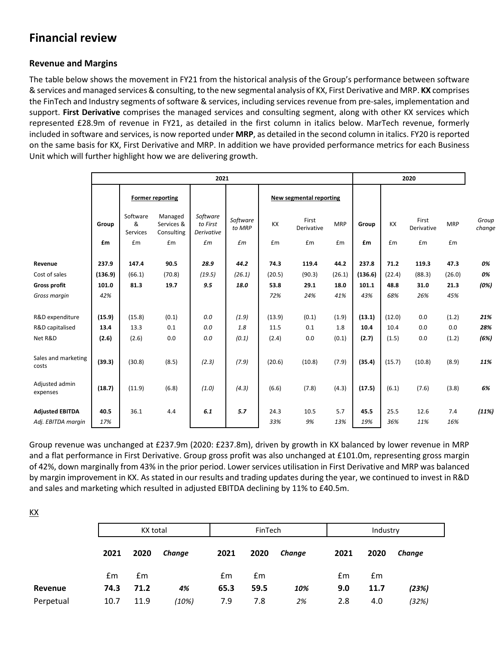# **Financial review**

### **Revenue and Margins**

KX

The table below shows the movement in FY21 from the historical analysis of the Group's performance between software & services and managed services & consulting, to the new segmental analysis of KX, First Derivative and MRP. **KX** comprises the FinTech and Industry segments of software & services, including services revenue from pre-sales, implementation and support. **First Derivative** comprises the managed services and consulting segment, along with other KX services which represented £28.9m of revenue in FY21, as detailed in the first column in italics below. MarTech revenue, formerly included in software and services, is now reported under **MRP**, as detailed in the second column in italics. FY20 is reported on the same basis for KX, First Derivative and MRP. In addition we have provided performance metrics for each Business Unit which will further highlight how we are delivering growth.

|                              | 2021    |                           |                                     |                                           |                                    |                         |                     |            | 2020    |        |                     |            |                 |
|------------------------------|---------|---------------------------|-------------------------------------|-------------------------------------------|------------------------------------|-------------------------|---------------------|------------|---------|--------|---------------------|------------|-----------------|
|                              |         | <b>Former reporting</b>   |                                     |                                           |                                    | New segmental reporting |                     |            |         |        |                     |            |                 |
|                              | Group   | Software<br>&<br>Services | Managed<br>Services &<br>Consulting | Software<br>to First<br><b>Derivative</b> | Software<br>to MRP                 | KX                      | First<br>Derivative | <b>MRP</b> | Group   | KX     | First<br>Derivative | <b>MRP</b> | Group<br>change |
|                              | £m      | £m                        | £m                                  | $\pounds m$                               | $\pmb{\mathit{f}}\pmb{\mathit{m}}$ | £m                      | £m                  | £m         | £m      | £m     | £m                  | £m         |                 |
| Revenue                      | 237.9   | 147.4                     | 90.5                                | 28.9                                      | 44.2                               | 74.3                    | 119.4               | 44.2       | 237.8   | 71.2   | 119.3               | 47.3       | 0%              |
| Cost of sales                | (136.9) | (66.1)                    | (70.8)                              | (19.5)                                    | (26.1)                             | (20.5)                  | (90.3)              | (26.1)     | (136.6) | (22.4) | (88.3)              | (26.0)     | 0%              |
| <b>Gross profit</b>          | 101.0   | 81.3                      | 19.7                                | 9.5                                       | 18.0                               | 53.8                    | 29.1                | 18.0       | 101.1   | 48.8   | 31.0                | 21.3       | (0%)            |
| Gross margin                 | 42%     |                           |                                     |                                           |                                    | 72%                     | 24%                 | 41%        | 43%     | 68%    | 26%                 | 45%        |                 |
| R&D expenditure              | (15.9)  | (15.8)                    | (0.1)                               | 0.0                                       | (1.9)                              | (13.9)                  | (0.1)               | (1.9)      | (13.1)  | (12.0) | 0.0                 | (1.2)      | 21%             |
| R&D capitalised              | 13.4    | 13.3                      | 0.1                                 | 0.0                                       | 1.8                                | 11.5                    | 0.1                 | 1.8        | 10.4    | 10.4   | 0.0                 | 0.0        | 28%             |
| Net R&D                      | (2.6)   | (2.6)                     | 0.0                                 | 0.0                                       | (0.1)                              | (2.4)                   | 0.0                 | (0.1)      | (2.7)   | (1.5)  | 0.0                 | (1.2)      | (6%)            |
| Sales and marketing<br>costs | (39.3)  | (30.8)                    | (8.5)                               | (2.3)                                     | (7.9)                              | (20.6)                  | (10.8)              | (7.9)      | (35.4)  | (15.7) | (10.8)              | (8.9)      | 11%             |
| Adjusted admin<br>expenses   | (18.7)  | (11.9)                    | (6.8)                               | (1.0)                                     | (4.3)                              | (6.6)                   | (7.8)               | (4.3)      | (17.5)  | (6.1)  | (7.6)               | (3.8)      | 6%              |
| <b>Adjusted EBITDA</b>       | 40.5    | 36.1                      | 4.4                                 | 6.1                                       | 5.7                                | 24.3                    | 10.5                | 5.7        | 45.5    | 25.5   | 12.6                | 7.4        | (11%)           |
| Adj. EBITDA margin           | 17%     |                           |                                     |                                           |                                    | 33%                     | 9%                  | 13%        | 19%     | 36%    | 11%                 | 16%        |                 |

Group revenue was unchanged at £237.9m (2020: £237.8m), driven by growth in KX balanced by lower revenue in MRP and a flat performance in First Derivative. Group gross profit was also unchanged at £101.0m, representing gross margin of 42%, down marginally from 43% in the prior period. Lower services utilisation in First Derivative and MRP was balanced by margin improvement in KX. As stated in our results and trading updates during the year, we continued to invest in R&D and sales and marketing which resulted in adjusted EBITDA declining by 11% to £40.5m.

|           |      | KX total |        |      | FinTech |        |      | Industry |        |  |
|-----------|------|----------|--------|------|---------|--------|------|----------|--------|--|
|           | 2021 | 2020     | Change | 2021 | 2020    | Change | 2021 | 2020     | Change |  |
|           | £m   | Em       |        | £m   | £m      |        | £m   | Em       |        |  |
| Revenue   | 74.3 | 71.2     | 4%     | 65.3 | 59.5    | 10%    | 9.0  | 11.7     | (23%)  |  |
| Perpetual | 10.7 | 11.9     | (10%)  | 7.9  | 7.8     | 2%     | 2.8  | 4.0      | (32%)  |  |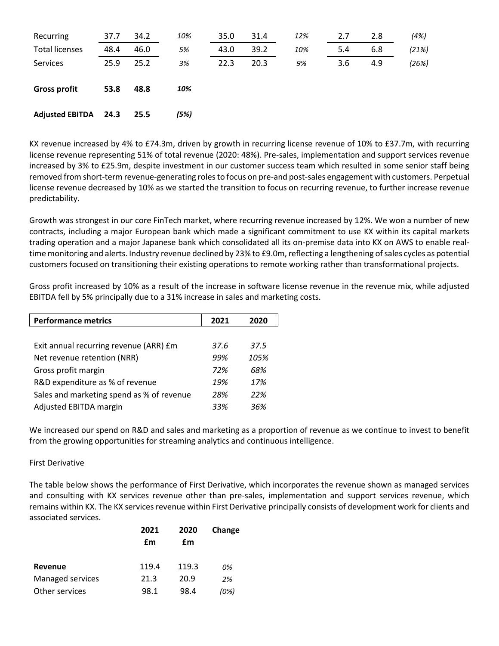| Recurring              | 37.7 | 34.2 | 10%  | 35.0 | 31.4 | 12% | 2.7 | 2.8 | (4%)  |
|------------------------|------|------|------|------|------|-----|-----|-----|-------|
| <b>Total licenses</b>  | 48.4 | 46.0 | 5%   | 43.0 | 39.2 | 10% | 5.4 | 6.8 | (21%) |
| Services               | 25.9 | 25.2 | 3%   | 22.3 | 20.3 | 9%  | 3.6 | 4.9 | (26%) |
| <b>Gross profit</b>    | 53.8 | 48.8 | 10%  |      |      |     |     |     |       |
| <b>Adjusted EBITDA</b> | 24.3 | 25.5 | (5%) |      |      |     |     |     |       |

KX revenue increased by 4% to £74.3m, driven by growth in recurring license revenue of 10% to £37.7m, with recurring license revenue representing 51% of total revenue (2020: 48%). Pre-sales, implementation and support services revenue increased by 3% to £25.9m, despite investment in our customer success team which resulted in some senior staff being removed from short-term revenue-generating roles to focus on pre-and post-sales engagement with customers. Perpetual license revenue decreased by 10% as we started the transition to focus on recurring revenue, to further increase revenue predictability.

Growth was strongest in our core FinTech market, where recurring revenue increased by 12%. We won a number of new contracts, including a major European bank which made a significant commitment to use KX within its capital markets trading operation and a major Japanese bank which consolidated all its on-premise data into KX on AWS to enable realtime monitoring and alerts. Industry revenue declined by 23% to £9.0m, reflecting a lengthening of sales cycles as potential customers focused on transitioning their existing operations to remote working rather than transformational projects.

Gross profit increased by 10% as a result of the increase in software license revenue in the revenue mix, while adjusted EBITDA fell by 5% principally due to a 31% increase in sales and marketing costs.

| <b>Performance metrics</b>                | 2021 | 2020 |
|-------------------------------------------|------|------|
|                                           |      |      |
| Exit annual recurring revenue (ARR) £m    | 37.6 | 37.5 |
| Net revenue retention (NRR)               | 99%  | 105% |
| Gross profit margin                       | 72%  | 68%  |
| R&D expenditure as % of revenue           | 19%  | 17%  |
| Sales and marketing spend as % of revenue | 28%  | 22%  |
| Adjusted EBITDA margin                    | 33%  | 36%  |

We increased our spend on R&D and sales and marketing as a proportion of revenue as we continue to invest to benefit from the growing opportunities for streaming analytics and continuous intelligence.

#### First Derivative

The table below shows the performance of First Derivative, which incorporates the revenue shown as managed services and consulting with KX services revenue other than pre-sales, implementation and support services revenue, which remains within KX. The KX services revenue within First Derivative principally consists of development work for clients and associated services.

| 2021  | 2020  | Change |  |
|-------|-------|--------|--|
| £m    | £m    |        |  |
| 119.4 | 119.3 | 0%     |  |
| 21.3  | 20.9  | 2%     |  |
| 98.1  | 98.4  | (0%)   |  |
|       |       |        |  |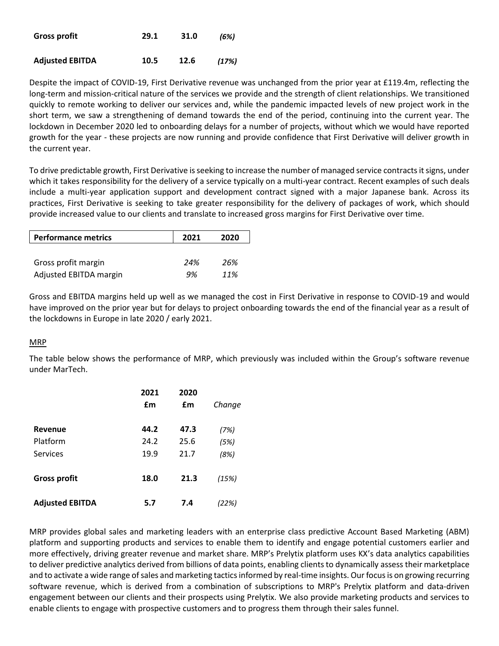| <b>Gross profit</b>    | 29.1 | 31.0 | (6%)  |
|------------------------|------|------|-------|
| <b>Adjusted EBITDA</b> | 10.5 | 12.6 | (17%) |

Despite the impact of COVID-19, First Derivative revenue was unchanged from the prior year at £119.4m, reflecting the long-term and mission-critical nature of the services we provide and the strength of client relationships. We transitioned quickly to remote working to deliver our services and, while the pandemic impacted levels of new project work in the short term, we saw a strengthening of demand towards the end of the period, continuing into the current year. The lockdown in December 2020 led to onboarding delays for a number of projects, without which we would have reported growth for the year - these projects are now running and provide confidence that First Derivative will deliver growth in the current year.

To drive predictable growth, First Derivative is seeking to increase the number of managed service contracts it signs, under which it takes responsibility for the delivery of a service typically on a multi-year contract. Recent examples of such deals include a multi-year application support and development contract signed with a major Japanese bank. Across its practices, First Derivative is seeking to take greater responsibility for the delivery of packages of work, which should provide increased value to our clients and translate to increased gross margins for First Derivative over time.

| <b>Performance metrics</b> | 2021 | 2020 |
|----------------------------|------|------|
|                            |      |      |
| Gross profit margin        | 24%  | 26%  |
| Adjusted EBITDA margin     | 9%   | 11%  |

Gross and EBITDA margins held up well as we managed the cost in First Derivative in response to COVID-19 and would have improved on the prior year but for delays to project onboarding towards the end of the financial year as a result of the lockdowns in Europe in late 2020 / early 2021.

#### MRP

The table below shows the performance of MRP, which previously was included within the Group's software revenue under MarTech.

|                        | 2021<br>£m | 2020<br>£m | Change |
|------------------------|------------|------------|--------|
| <b>Revenue</b>         | 44.2       | 47.3       | (7%)   |
| Platform               | 24.2       | 25.6       | (5%)   |
| Services               | 19.9       | 21.7       | (8%)   |
| <b>Gross profit</b>    | 18.0       | 21.3       | (15%)  |
| <b>Adjusted EBITDA</b> | 5.7        | 7.4        | (22%)  |

MRP provides global sales and marketing leaders with an enterprise class predictive Account Based Marketing (ABM) platform and supporting products and services to enable them to identify and engage potential customers earlier and more effectively, driving greater revenue and market share. MRP's Prelytix platform uses KX's data analytics capabilities to deliver predictive analytics derived from billions of data points, enabling clients to dynamically assess their marketplace and to activate a wide range of sales and marketing tactics informed by real-time insights. Our focus is on growing recurring software revenue, which is derived from a combination of subscriptions to MRP's Prelytix platform and data-driven engagement between our clients and their prospects using Prelytix. We also provide marketing products and services to enable clients to engage with prospective customers and to progress them through their sales funnel.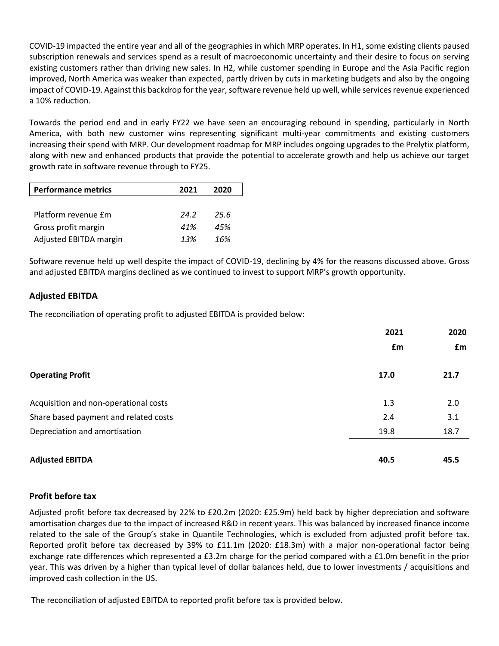COVID-19 impacted the entire year and all of the geographies in which MRP operates. In H1, some existing clients paused subscription renewals and services spend as a result of macroeconomic uncertainty and their desire to focus on serving existing customers rather than driving new sales. In H2, while customer spending in Europe and the Asia Pacific region improved, North America was weaker than expected, partly driven by cuts in marketing budgets and also by the ongoing impact of COVID-19. Against this backdrop for the year, software revenue held up well, while services revenue experienced a 10% reduction.

Towards the period end and in early FY22 we have seen an encouraging rebound in spending, particularly in North America, with both new customer wins representing significant multi-year commitments and existing customers increasing their spend with MRP. Our development roadmap for MRP includes ongoing upgrades to the Prelytix platform, along with new and enhanced products that provide the potential to accelerate growth and help us achieve our target growth rate in software revenue through to FY25.

| <b>Performance metrics</b> | 2021 | 2020 |
|----------------------------|------|------|
|                            |      |      |
| Platform revenue £m        | 24.2 | 25.6 |
| Gross profit margin        | 41%  | 45%  |
| Adjusted EBITDA margin     | 13%  | 16%  |

Software revenue held up well despite the impact of COVID-19, declining by 4% for the reasons discussed above. Gross and adjusted EBITDA margins declined as we continued to invest to support MRP's growth opportunity.

### **Adjusted EBITDA**

The reconciliation of operating profit to adjusted EBITDA is provided below:

|                                       | 2021 | 2020 |
|---------------------------------------|------|------|
|                                       | £m   | £m   |
| <b>Operating Profit</b>               | 17.0 | 21.7 |
| Acquisition and non-operational costs | 1.3  | 2.0  |
| Share based payment and related costs | 2.4  | 3.1  |
| Depreciation and amortisation         | 19.8 | 18.7 |
| <b>Adjusted EBITDA</b>                | 40.5 | 45.5 |

#### **Profit before tax**

Adjusted profit before tax decreased by 22% to £20.2m (2020: £25.9m) held back by higher depreciation and software amortisation charges due to the impact of increased R&D in recent years. This was balanced by increased finance income related to the sale of the Group's stake in Quantile Technologies, which is excluded from adjusted profit before tax. Reported profit before tax decreased by 39% to £11.1m (2020: £18.3m) with a major non-operational factor being exchange rate differences which represented a £3.2m charge for the period compared with a £1.0m benefit in the prior year. This was driven by a higher than typical level of dollar balances held, due to lower investments / acquisitions and improved cash collection in the US.

The reconciliation of adjusted EBITDA to reported profit before tax is provided below.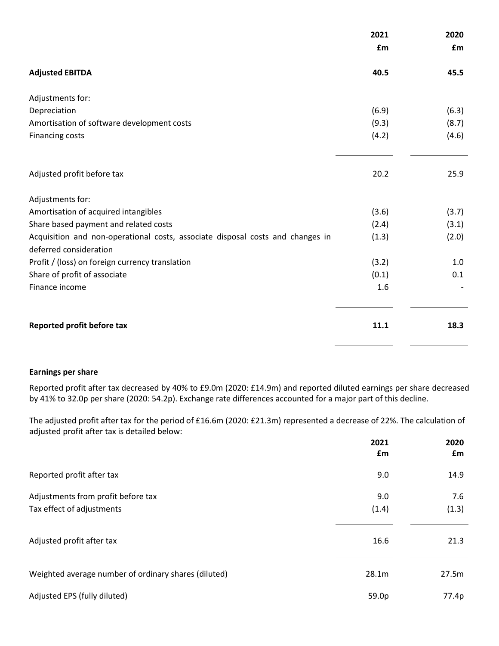|                                                                                                          | 2021  | 2020  |
|----------------------------------------------------------------------------------------------------------|-------|-------|
|                                                                                                          | £m    | £m    |
| <b>Adjusted EBITDA</b>                                                                                   | 40.5  | 45.5  |
| Adjustments for:                                                                                         |       |       |
| Depreciation                                                                                             | (6.9) | (6.3) |
| Amortisation of software development costs                                                               | (9.3) | (8.7) |
| <b>Financing costs</b>                                                                                   | (4.2) | (4.6) |
|                                                                                                          |       |       |
| Adjusted profit before tax                                                                               | 20.2  | 25.9  |
| Adjustments for:                                                                                         |       |       |
| Amortisation of acquired intangibles                                                                     | (3.6) | (3.7) |
| Share based payment and related costs                                                                    | (2.4) | (3.1) |
| Acquisition and non-operational costs, associate disposal costs and changes in<br>deferred consideration | (1.3) | (2.0) |
| Profit / (loss) on foreign currency translation                                                          | (3.2) | 1.0   |
| Share of profit of associate                                                                             | (0.1) | 0.1   |
| Finance income                                                                                           | 1.6   |       |
|                                                                                                          |       |       |
| Reported profit before tax                                                                               | 11.1  | 18.3  |

#### **Earnings per share**

Reported profit after tax decreased by 40% to £9.0m (2020: £14.9m) and reported diluted earnings per share decreased by 41% to 32.0p per share (2020: 54.2p). Exchange rate differences accounted for a major part of this decline.

The adjusted profit after tax for the period of £16.6m (2020: £21.3m) represented a decrease of 22%. The calculation of adjusted profit after tax is detailed below:

|                                                      | 2021<br>£m | 2020<br>£m |
|------------------------------------------------------|------------|------------|
| Reported profit after tax                            | 9.0        | 14.9       |
| Adjustments from profit before tax                   | 9.0        | 7.6        |
| Tax effect of adjustments                            | (1.4)      | (1.3)      |
| Adjusted profit after tax                            | 16.6       | 21.3       |
| Weighted average number of ordinary shares (diluted) | 28.1m      | 27.5m      |
| Adjusted EPS (fully diluted)                         | 59.0p      | 77.4p      |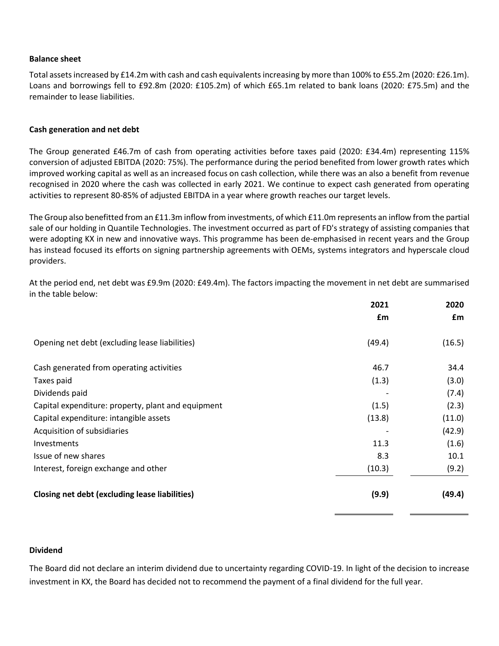#### **Balance sheet**

Total assets increased by £14.2m with cash and cash equivalents increasing by more than 100% to £55.2m (2020: £26.1m). Loans and borrowings fell to £92.8m (2020: £105.2m) of which £65.1m related to bank loans (2020: £75.5m) and the remainder to lease liabilities.

#### **Cash generation and net debt**

The Group generated £46.7m of cash from operating activities before taxes paid (2020: £34.4m) representing 115% conversion of adjusted EBITDA (2020: 75%). The performance during the period benefited from lower growth rates which improved working capital as well as an increased focus on cash collection, while there was an also a benefit from revenue recognised in 2020 where the cash was collected in early 2021. We continue to expect cash generated from operating activities to represent 80-85% of adjusted EBITDA in a year where growth reaches our target levels.

The Group also benefitted from an £11.3m inflow from investments, of which £11.0m represents an inflow from the partial sale of our holding in Quantile Technologies. The investment occurred as part of FD's strategy of assisting companies that were adopting KX in new and innovative ways. This programme has been de-emphasised in recent years and the Group has instead focused its efforts on signing partnership agreements with OEMs, systems integrators and hyperscale cloud providers.

At the period end, net debt was £9.9m (2020: £49.4m). The factors impacting the movement in net debt are summarised in the table below:

|                                                    | 2021   | 2020   |
|----------------------------------------------------|--------|--------|
|                                                    | £m     | £m     |
| Opening net debt (excluding lease liabilities)     | (49.4) | (16.5) |
| Cash generated from operating activities           | 46.7   | 34.4   |
| Taxes paid                                         | (1.3)  | (3.0)  |
| Dividends paid                                     |        | (7.4)  |
| Capital expenditure: property, plant and equipment | (1.5)  | (2.3)  |
| Capital expenditure: intangible assets             | (13.8) | (11.0) |
| Acquisition of subsidiaries                        |        | (42.9) |
| Investments                                        | 11.3   | (1.6)  |
| Issue of new shares                                | 8.3    | 10.1   |
| Interest, foreign exchange and other               | (10.3) | (9.2)  |
| Closing net debt (excluding lease liabilities)     | (9.9)  | (49.4) |

#### **Dividend**

The Board did not declare an interim dividend due to uncertainty regarding COVID-19. In light of the decision to increase investment in KX, the Board has decided not to recommend the payment of a final dividend for the full year.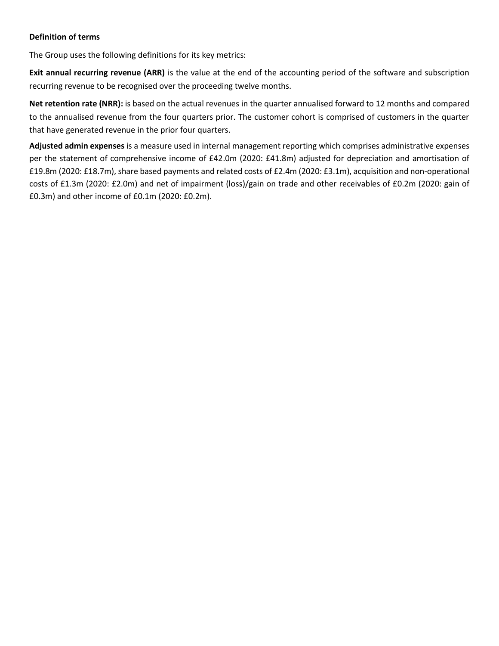#### **Definition of terms**

The Group uses the following definitions for its key metrics:

**Exit annual recurring revenue (ARR)** is the value at the end of the accounting period of the software and subscription recurring revenue to be recognised over the proceeding twelve months.

**Net retention rate (NRR):** is based on the actual revenues in the quarter annualised forward to 12 months and compared to the annualised revenue from the four quarters prior. The customer cohort is comprised of customers in the quarter that have generated revenue in the prior four quarters.

**Adjusted admin expenses** is a measure used in internal management reporting which comprises administrative expenses per the statement of comprehensive income of £42.0m (2020: £41.8m) adjusted for depreciation and amortisation of £19.8m (2020: £18.7m), share based payments and related costs of £2.4m (2020: £3.1m), acquisition and non-operational costs of £1.3m (2020: £2.0m) and net of impairment (loss)/gain on trade and other receivables of £0.2m (2020: gain of £0.3m) and other income of £0.1m (2020: £0.2m).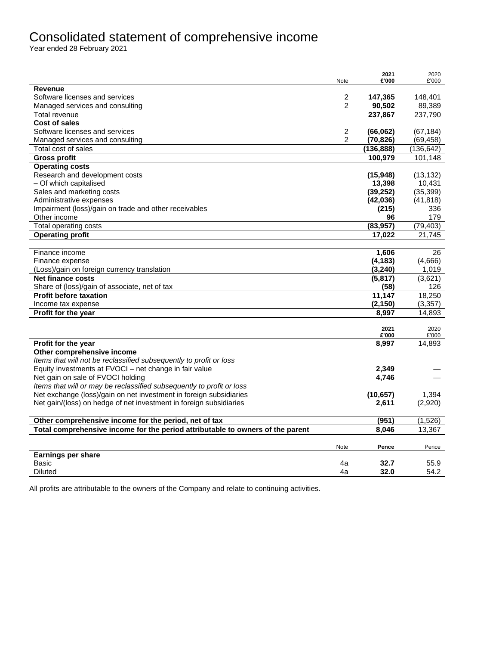# Consolidated statement of comprehensive income

Year ended 28 February 2021

|                                                                                | Note           | 2021<br>£'000 | 2020<br>£'000 |
|--------------------------------------------------------------------------------|----------------|---------------|---------------|
| <b>Revenue</b>                                                                 |                |               |               |
| Software licenses and services                                                 | 2              | 147,365       | 148,401       |
| Managed services and consulting                                                | 2              | 90,502        | 89,389        |
| Total revenue                                                                  |                | 237,867       | 237,790       |
| Cost of sales                                                                  |                |               |               |
| Software licenses and services                                                 | 2              | (66,062)      | (67, 184)     |
| Managed services and consulting                                                | $\overline{2}$ | (70, 826)     | (69, 458)     |
| Total cost of sales                                                            |                | (136, 888)    | (136, 642)    |
| <b>Gross profit</b>                                                            |                | 100,979       | 101,148       |
| <b>Operating costs</b>                                                         |                |               |               |
| Research and development costs                                                 |                | (15, 948)     | (13, 132)     |
| - Of which capitalised                                                         |                | 13,398        | 10,431        |
| Sales and marketing costs                                                      |                | (39, 252)     | (35, 399)     |
| Administrative expenses                                                        |                | (42,036)      | (41, 818)     |
| Impairment (loss)/gain on trade and other receivables                          |                | (215)         | 336           |
| Other income                                                                   |                | 96            | 179           |
| Total operating costs                                                          |                | (83, 957)     | (79, 403)     |
| <b>Operating profit</b>                                                        |                | 17,022        | 21.745        |
|                                                                                |                |               |               |
| Finance income                                                                 |                | 1,606         | 26            |
| Finance expense                                                                |                | (4, 183)      | (4,666)       |
| (Loss)/gain on foreign currency translation                                    |                | (3, 240)      | 1,019         |
| <b>Net finance costs</b>                                                       |                | (5, 817)      | (3,621)       |
| Share of (loss)/gain of associate, net of tax                                  |                | (58)          | 126           |
| <b>Profit before taxation</b>                                                  |                | 11,147        | 18,250        |
| Income tax expense                                                             |                | (2, 150)      | (3, 357)      |
| <b>Profit for the year</b>                                                     |                | 8,997         | 14,893        |
|                                                                                |                | 2021          | 2020          |
|                                                                                |                | £'000         | £'000         |
| Profit for the year                                                            |                | 8,997         | 14,893        |
| Other comprehensive income                                                     |                |               |               |
| Items that will not be reclassified subsequently to profit or loss             |                |               |               |
| Equity investments at FVOCI - net change in fair value                         |                | 2,349         |               |
| Net gain on sale of FVOCI holding                                              |                | 4,746         |               |
| Items that will or may be reclassified subsequently to profit or loss          |                |               |               |
| Net exchange (loss)/gain on net investment in foreign subsidiaries             |                | (10, 657)     | 1,394         |
| Net gain/(loss) on hedge of net investment in foreign subsidiaries             |                | 2,611         | (2,920)       |
|                                                                                |                |               |               |
| Other comprehensive income for the period, net of tax                          |                | (951)         | (1,526)       |
| Total comprehensive income for the period attributable to owners of the parent |                | 8.046         | 13,367        |
|                                                                                |                |               |               |
|                                                                                | Note           | Pence         | Pence         |
| <b>Earnings per share</b>                                                      |                |               |               |
| Basic                                                                          | 4a             | 32.7          | 55.9          |
| <b>Diluted</b>                                                                 | 4a             | 32.0          | 54.2          |

All profits are attributable to the owners of the Company and relate to continuing activities.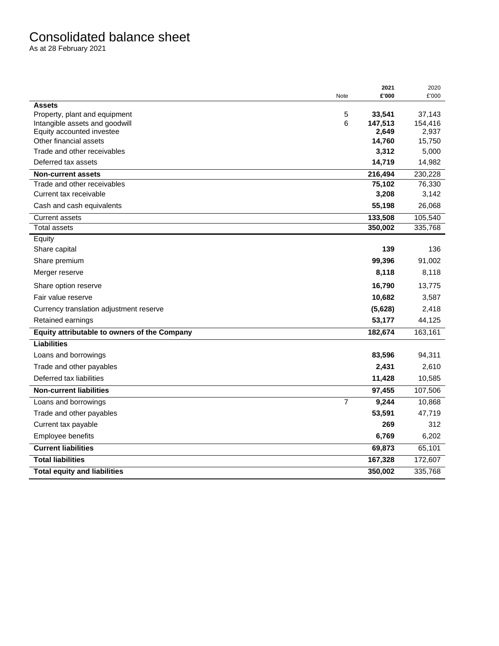# Consolidated balance sheet

As at 28 February 2021

|                                              | Note | 2021<br>£'000 | 2020<br>£'000 |
|----------------------------------------------|------|---------------|---------------|
| <b>Assets</b>                                |      |               |               |
| Property, plant and equipment                | 5    | 33,541        | 37,143        |
| Intangible assets and goodwill               | 6    | 147,513       | 154,416       |
| Equity accounted investee                    |      | 2,649         | 2,937         |
| Other financial assets                       |      | 14,760        | 15,750        |
| Trade and other receivables                  |      | 3,312         | 5,000         |
| Deferred tax assets                          |      | 14,719        | 14,982        |
| <b>Non-current assets</b>                    |      | 216,494       | 230,228       |
| Trade and other receivables                  |      | 75,102        | 76,330        |
| Current tax receivable                       |      | 3,208         | 3,142         |
| Cash and cash equivalents                    |      | 55,198        | 26,068        |
| <b>Current assets</b>                        |      | 133,508       | 105,540       |
| <b>Total assets</b>                          |      | 350,002       | 335,768       |
| Equity                                       |      |               |               |
| Share capital                                |      | 139           | 136           |
| Share premium                                |      | 99,396        | 91,002        |
| Merger reserve                               |      | 8,118         | 8,118         |
| Share option reserve                         |      | 16,790        | 13,775        |
| Fair value reserve                           |      | 10,682        | 3,587         |
| Currency translation adjustment reserve      |      | (5,628)       | 2,418         |
| Retained earnings                            |      | 53,177        | 44,125        |
| Equity attributable to owners of the Company |      | 182,674       | 163,161       |
| <b>Liabilities</b>                           |      |               |               |
| Loans and borrowings                         |      | 83,596        | 94,311        |
| Trade and other payables                     |      | 2,431         | 2,610         |
| Deferred tax liabilities                     |      | 11,428        | 10,585        |
| <b>Non-current liabilities</b>               |      | 97,455        | 107,506       |
| Loans and borrowings                         | 7    | 9,244         | 10,868        |
| Trade and other payables                     |      | 53,591        | 47,719        |
| Current tax payable                          |      | 269           | 312           |
| Employee benefits                            |      | 6,769         | 6,202         |
| <b>Current liabilities</b>                   |      | 69,873        | 65,101        |
| <b>Total liabilities</b>                     |      | 167,328       | 172,607       |
| <b>Total equity and liabilities</b>          |      | 350,002       | 335,768       |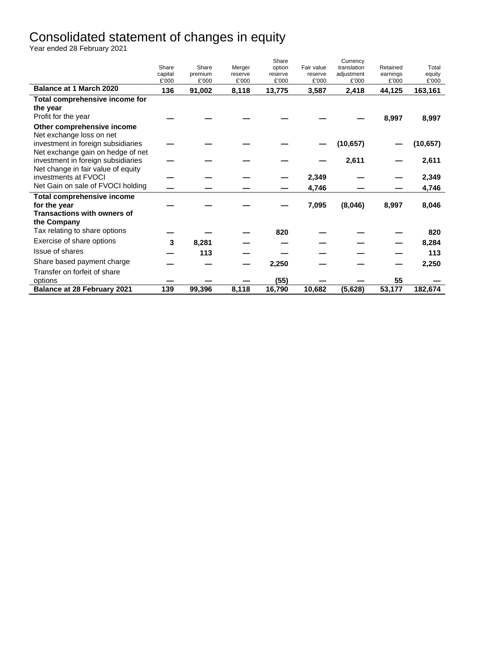# Consolidated statement of changes in equity

Year ended 28 February 2021

|                                    |                  |                  |                   | Share             |                       | Currency                  |                      |                 |
|------------------------------------|------------------|------------------|-------------------|-------------------|-----------------------|---------------------------|----------------------|-----------------|
|                                    | Share<br>capital | Share<br>premium | Merger<br>reserve | option<br>reserve | Fair value<br>reserve | translation<br>adjustment | Retained<br>earnings | Total           |
|                                    | £'000            | £'000            | £'000             | £'000             | £'000                 | £'000                     | £'000                | equity<br>£'000 |
| <b>Balance at 1 March 2020</b>     | 136              | 91,002           | 8,118             | 13,775            | 3,587                 | 2,418                     | 44,125               | 163,161         |
| Total comprehensive income for     |                  |                  |                   |                   |                       |                           |                      |                 |
| the year                           |                  |                  |                   |                   |                       |                           |                      |                 |
| Profit for the year                |                  |                  |                   |                   |                       |                           | 8,997                | 8,997           |
| Other comprehensive income         |                  |                  |                   |                   |                       |                           |                      |                 |
| Net exchange loss on net           |                  |                  |                   |                   |                       |                           |                      |                 |
| investment in foreign subsidiaries |                  |                  |                   |                   |                       | (10, 657)                 |                      | (10, 657)       |
| Net exchange gain on hedge of net  |                  |                  |                   |                   |                       |                           |                      |                 |
| investment in foreign subsidiaries |                  |                  |                   |                   |                       | 2,611                     |                      | 2,611           |
| Net change in fair value of equity |                  |                  |                   |                   |                       |                           |                      |                 |
| investments at FVOCI               |                  |                  |                   |                   | 2,349                 |                           |                      | 2,349           |
| Net Gain on sale of FVOCI holding  |                  |                  |                   |                   | 4,746                 |                           |                      | 4,746           |
| Total comprehensive income         |                  |                  |                   |                   |                       |                           |                      |                 |
| for the year                       |                  |                  |                   |                   | 7,095                 | (8,046)                   | 8,997                | 8,046           |
| <b>Transactions with owners of</b> |                  |                  |                   |                   |                       |                           |                      |                 |
| the Company                        |                  |                  |                   |                   |                       |                           |                      |                 |
| Tax relating to share options      |                  |                  |                   | 820               |                       |                           |                      | 820             |
| Exercise of share options          | 3                | 8,281            |                   |                   |                       |                           |                      | 8,284           |
| Issue of shares                    |                  | 113              |                   |                   |                       |                           |                      | 113             |
| Share based payment charge         |                  |                  |                   | 2,250             |                       |                           |                      | 2,250           |
| Transfer on forfeit of share       |                  |                  |                   |                   |                       |                           |                      |                 |
| options                            |                  |                  |                   | (55)              |                       |                           | 55                   |                 |
| <b>Balance at 28 February 2021</b> | 139              | 99,396           | 8,118             | 16,790            | 10,682                | (5,628)                   | 53,177               | 182,674         |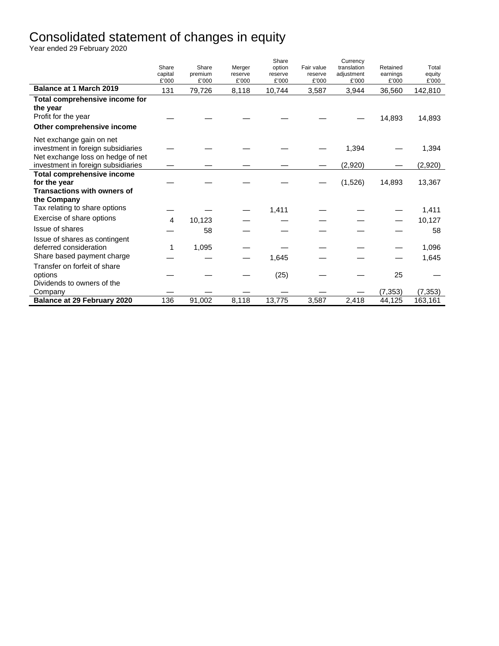# Consolidated statement of changes in equity

Year ended 29 February 2020

|                                                                                                                                           | Share<br>capital<br>£'000 | Share<br>premium<br>£'000 | Merger<br>reserve<br>£'000 | Share<br>option<br>reserve<br>£'000 | Fair value<br>reserve<br>£'000 | Currency<br>translation<br>adjustment<br>£'000 | Retained<br>earnings<br>£'000 | Total<br>equity<br>£'000 |
|-------------------------------------------------------------------------------------------------------------------------------------------|---------------------------|---------------------------|----------------------------|-------------------------------------|--------------------------------|------------------------------------------------|-------------------------------|--------------------------|
| <b>Balance at 1 March 2019</b>                                                                                                            | 131                       | 79,726                    | 8,118                      | 10,744                              | 3,587                          | 3,944                                          | 36,560                        | 142,810                  |
| Total comprehensive income for<br>the year<br>Profit for the year<br>Other comprehensive income                                           |                           |                           |                            |                                     |                                |                                                | 14,893                        | 14,893                   |
| Net exchange gain on net<br>investment in foreign subsidiaries<br>Net exchange loss on hedge of net<br>investment in foreign subsidiaries |                           |                           |                            |                                     |                                | 1,394<br>(2,920)                               |                               | 1,394<br>(2,920)         |
| Total comprehensive income<br>for the year<br><b>Transactions with owners of</b><br>the Company                                           |                           |                           |                            |                                     |                                | (1,526)                                        | 14,893                        | 13,367                   |
| Tax relating to share options                                                                                                             |                           |                           |                            | 1,411                               |                                |                                                |                               | 1,411                    |
| Exercise of share options                                                                                                                 | 4                         | 10,123                    |                            |                                     |                                |                                                |                               | 10,127                   |
| Issue of shares                                                                                                                           |                           | 58                        |                            |                                     |                                |                                                |                               | 58                       |
| Issue of shares as contingent<br>deferred consideration<br>Share based payment charge                                                     | 1                         | 1,095                     |                            | 1,645                               |                                |                                                |                               | 1,096<br>1,645           |
| Transfer on forfeit of share<br>options<br>Dividends to owners of the                                                                     |                           |                           |                            | (25)                                |                                |                                                | 25                            |                          |
| Company                                                                                                                                   |                           |                           |                            |                                     |                                |                                                | (7, 353)                      | (7, 353)                 |
| <b>Balance at 29 February 2020</b>                                                                                                        | 136                       | 91,002                    | 8,118                      | 13,775                              | 3,587                          | 2,418                                          | 44,125                        | 163,161                  |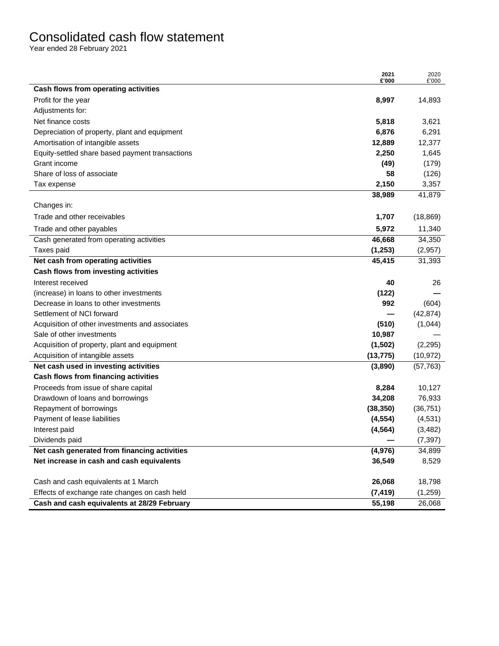# Consolidated cash flow statement

Year ended 28 February 2021

|                                                 | 2021<br>£'000 | 2020<br>£'000 |
|-------------------------------------------------|---------------|---------------|
| Cash flows from operating activities            |               |               |
| Profit for the year                             | 8,997         | 14,893        |
| Adjustments for:                                |               |               |
| Net finance costs                               | 5,818         | 3,621         |
| Depreciation of property, plant and equipment   | 6,876         | 6,291         |
| Amortisation of intangible assets               | 12,889        | 12,377        |
| Equity-settled share based payment transactions | 2,250         | 1,645         |
| Grant income                                    | (49)          | (179)         |
| Share of loss of associate                      | 58            | (126)         |
| Tax expense                                     | 2,150         | 3,357         |
|                                                 | 38,989        | 41,879        |
| Changes in:                                     |               |               |
| Trade and other receivables                     | 1,707         | (18, 869)     |
| Trade and other payables                        | 5,972         | 11,340        |
| Cash generated from operating activities        | 46,668        | 34,350        |
| Taxes paid                                      | (1, 253)      | (2,957)       |
| Net cash from operating activities              | 45,415        | 31,393        |
| Cash flows from investing activities            |               |               |
| Interest received                               | 40            | 26            |
| (increase) in loans to other investments        | (122)         |               |
| Decrease in loans to other investments          | 992           | (604)         |
| Settlement of NCI forward                       |               | (42, 874)     |
| Acquisition of other investments and associates | (510)         | (1,044)       |
| Sale of other investments                       | 10,987        |               |
| Acquisition of property, plant and equipment    | (1,502)       | (2, 295)      |
| Acquisition of intangible assets                | (13, 775)     | (10, 972)     |
| Net cash used in investing activities           | (3,890)       | (57, 763)     |
| Cash flows from financing activities            |               |               |
| Proceeds from issue of share capital            | 8,284         | 10,127        |
| Drawdown of loans and borrowings                | 34,208        | 76,933        |
| Repayment of borrowings                         | (38, 350)     | (36, 751)     |
| Payment of lease liabilities                    | (4, 554)      | (4,531)       |
| Interest paid                                   | (4, 564)      | (3, 482)      |
| Dividends paid                                  |               | (7, 397)      |
| Net cash generated from financing activities    | (4, 976)      | 34,899        |
| Net increase in cash and cash equivalents       | 36,549        | 8,529         |
| Cash and cash equivalents at 1 March            | 26,068        | 18,798        |
| Effects of exchange rate changes on cash held   | (7, 419)      | (1,259)       |
| Cash and cash equivalents at 28/29 February     | 55,198        | 26,068        |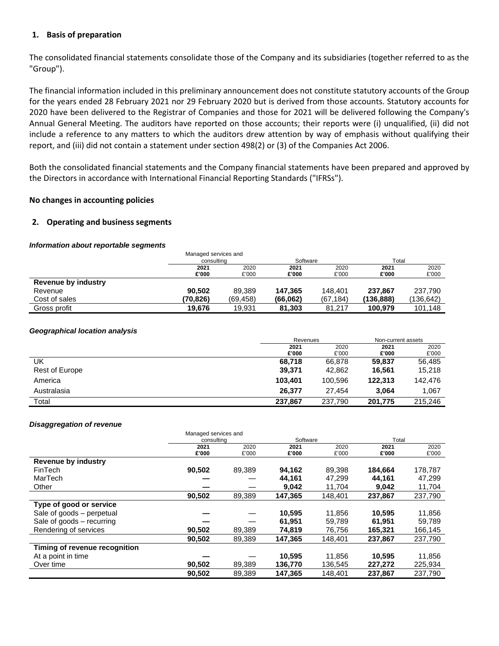#### **1. Basis of preparation**

The consolidated financial statements consolidate those of the Company and its subsidiaries (together referred to as the "Group").

The financial information included in this preliminary announcement does not constitute statutory accounts of the Group for the years ended 28 February 2021 nor 29 February 2020 but is derived from those accounts. Statutory accounts for 2020 have been delivered to the Registrar of Companies and those for 2021 will be delivered following the Company's Annual General Meeting. The auditors have reported on those accounts; their reports were (i) unqualified, (ii) did not include a reference to any matters to which the auditors drew attention by way of emphasis without qualifying their report, and (iii) did not contain a statement under section 498(2) or (3) of the Companies Act 2006.

Both the consolidated financial statements and the Company financial statements have been prepared and approved by the Directors in accordance with International Financial Reporting Standards ("IFRSs").

#### **No changes in accounting policies**

#### **2. Operating and business segments**

#### *Information about reportable segments*

|                     | Managed services and |          |          |          |           |           |
|---------------------|----------------------|----------|----------|----------|-----------|-----------|
|                     | consulting           |          | Software |          | Total     |           |
|                     | 2021                 | 2020     | 2021     | 2020     | 2021      | 2020      |
|                     | £'000                | £'000    | £'000    | £'000    | £'000     | £'000     |
| Revenue by industry |                      |          |          |          |           |           |
| Revenue             | 90.502               | 89.389   | 147.365  | 148.401  | 237.867   | 237.790   |
| Cost of sales       | (70.826)             | (69,458) | (66,062) | (67,184) | (136,888) | (136,642) |
| Gross profit        | 19,676               | 19.931   | 81.303   | 81.217   | 100,979   | 101.148   |

#### *Geographical location analysis*

|                |         | Revenues |         | Non-current assets |  |
|----------------|---------|----------|---------|--------------------|--|
|                | 2021    | 2020     |         | 2020               |  |
|                | £'000   | £'000    | £'000   | £'000              |  |
| UK             | 68.718  | 66.878   | 59.837  | 56.485             |  |
| Rest of Europe | 39,371  | 42.862   | 16.561  | 15,218             |  |
| America        | 103.401 | 100.596  | 122.313 | 142.476            |  |
| Australasia    | 26,377  | 27.454   | 3.064   | 1.067              |  |
| Total          | 237,867 | 237,790  | 201,775 | 215.246            |  |

#### *Disaggregation of revenue*

|                               | Managed services and |        |          |         |         |         |
|-------------------------------|----------------------|--------|----------|---------|---------|---------|
|                               | consulting           |        | Software |         | Total   |         |
|                               | 2021                 | 2020   | 2021     | 2020    | 2021    | 2020    |
|                               | £'000                | £'000  | £'000    | £'000   | £'000   | £'000   |
| <b>Revenue by industry</b>    |                      |        |          |         |         |         |
| FinTech                       | 90,502               | 89,389 | 94,162   | 89,398  | 184,664 | 178,787 |
| MarTech                       |                      |        | 44,161   | 47.299  | 44.161  | 47,299  |
| Other                         |                      |        | 9,042    | 11,704  | 9,042   | 11,704  |
|                               | 90,502               | 89,389 | 147,365  | 148,401 | 237,867 | 237,790 |
| Type of good or service       |                      |        |          |         |         |         |
| Sale of goods - perpetual     |                      |        | 10.595   | 11.856  | 10,595  | 11,856  |
| Sale of goods – recurring     |                      |        | 61.951   | 59.789  | 61,951  | 59,789  |
| Rendering of services         | 90,502               | 89,389 | 74,819   | 76,756  | 165,321 | 166,145 |
|                               | 90,502               | 89,389 | 147.365  | 148,401 | 237.867 | 237,790 |
| Timing of revenue recognition |                      |        |          |         |         |         |
| At a point in time            |                      |        | 10.595   | 11,856  | 10.595  | 11,856  |
| Over time                     | 90,502               | 89,389 | 136.770  | 136,545 | 227,272 | 225,934 |
|                               | 90,502               | 89,389 | 147,365  | 148,401 | 237.867 | 237,790 |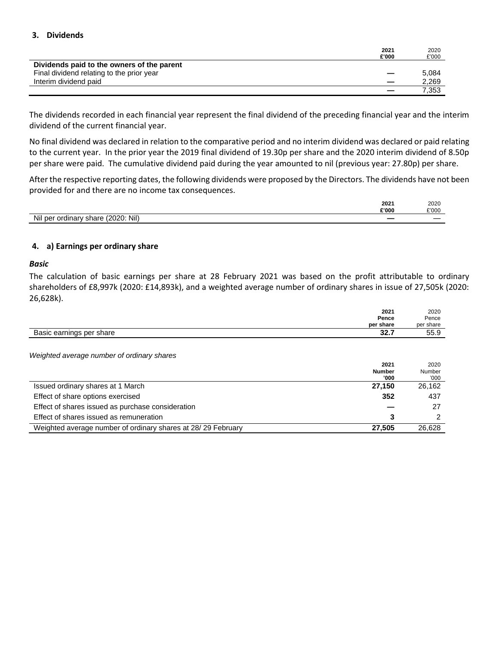#### **3. Dividends**

|                                            | 2021  | 2020  |
|--------------------------------------------|-------|-------|
|                                            | £'000 | £'000 |
| Dividends paid to the owners of the parent |       |       |
| Final dividend relating to the prior year  |       | 5.084 |
| Interim dividend paid                      |       | 2,269 |
|                                            |       | 7.353 |

The dividends recorded in each financial year represent the final dividend of the preceding financial year and the interim dividend of the current financial year.

No final dividend was declared in relation to the comparative period and no interim dividend was declared or paid relating to the current year. In the prior year the 2019 final dividend of 19.30p per share and the 2020 interim dividend of 8.50p per share were paid. The cumulative dividend paid during the year amounted to nil (previous year: 27.80p) per share.

After the respective reporting dates, the following dividends were proposed by the Directors. The dividends have not been provided for and there are no income tax consequences.

|                                                                                 | 2021  | 2020  |
|---------------------------------------------------------------------------------|-------|-------|
|                                                                                 | £'000 | £'000 |
| Nil)<br>Nil per ordinary share<br>(2020)<br>the contract of the contract of the |       |       |

#### **4. a) Earnings per ordinary share**

#### *Basic*

The calculation of basic earnings per share at 28 February 2021 was based on the profit attributable to ordinary shareholders of £8,997k (2020: £14,893k), and a weighted average number of ordinary shares in issue of 27,505k (2020: 26,628k).

| 2021                                                  | 2020      |
|-------------------------------------------------------|-----------|
| Pence                                                 | Pence     |
| per share                                             | per share |
| <b>pp</b> =<br>Basic earnings per share<br>JZ.I<br>__ | 55.9      |

*Weighted average number of ordinary shares*

|                                                              | 2021          | 2020   |
|--------------------------------------------------------------|---------------|--------|
|                                                              | <b>Number</b> | Number |
|                                                              | '000'         | '000   |
| Issued ordinary shares at 1 March                            | 27.150        | 26.162 |
| Effect of share options exercised                            | 352           | 437    |
| Effect of shares issued as purchase consideration            |               | 27     |
| Effect of shares issued as remuneration                      |               |        |
| Weighted average number of ordinary shares at 28/29 February | 27.505        | 26.628 |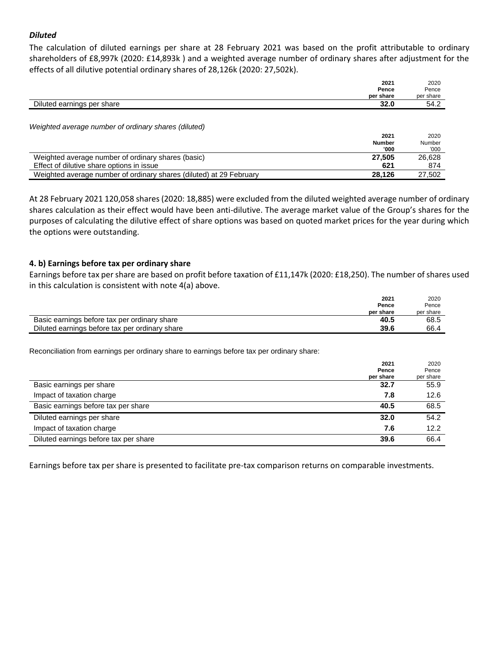#### *Diluted*

The calculation of diluted earnings per share at 28 February 2021 was based on the profit attributable to ordinary shareholders of £8,997k (2020: £14,893k ) and a weighted average number of ordinary shares after adjustment for the effects of all dilutive potential ordinary shares of 28,126k (2020: 27,502k).

|                                                                     | 2021          | 2020      |
|---------------------------------------------------------------------|---------------|-----------|
|                                                                     | Pence         | Pence     |
|                                                                     | per share     | per share |
| Diluted earnings per share                                          | 32.0          | 54.2      |
|                                                                     |               |           |
| Weighted average number of ordinary shares (diluted)                |               |           |
|                                                                     | 2021          | 2020      |
|                                                                     | <b>Number</b> | Number    |
|                                                                     | '000          | '000'     |
| Weighted average number of ordinary shares (basic)                  | 27,505        | 26,628    |
| Effect of dilutive share options in issue                           | 621           | 874       |
| Weighted average number of ordinary shares (diluted) at 29 February | 28,126        | 27,502    |
|                                                                     |               |           |

At 28 February 2021 120,058 shares (2020: 18,885) were excluded from the diluted weighted average number of ordinary shares calculation as their effect would have been anti-dilutive. The average market value of the Group's shares for the purposes of calculating the dilutive effect of share options was based on quoted market prices for the year during which the options were outstanding.

#### **4. b) Earnings before tax per ordinary share**

Earnings before tax per share are based on profit before taxation of £11,147k (2020: £18,250). The number of shares used in this calculation is consistent with note 4(a) above.

| 2021<br>Pence                                          | 2020<br>Pence |
|--------------------------------------------------------|---------------|
| per share                                              | per share     |
| Basic earnings before tax per ordinary share<br>40.5   | 68.5          |
| Diluted earnings before tax per ordinary share<br>39.6 | 66.4          |

Reconciliation from earnings per ordinary share to earnings before tax per ordinary share:

|                                       | 2021      | 2020      |
|---------------------------------------|-----------|-----------|
|                                       | Pence     | Pence     |
|                                       | per share | per share |
| Basic earnings per share              | 32.7      | 55.9      |
| Impact of taxation charge             | 7.8       | 12.6      |
| Basic earnings before tax per share   | 40.5      | 68.5      |
| Diluted earnings per share            | 32.0      | 54.2      |
| Impact of taxation charge             | 7.6       | 12.2      |
| Diluted earnings before tax per share | 39.6      | 66.4      |

Earnings before tax per share is presented to facilitate pre-tax comparison returns on comparable investments.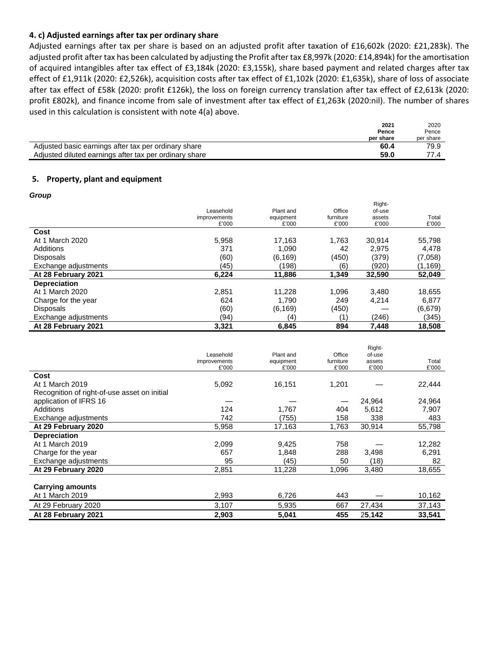#### **4. c) Adjusted earnings after tax per ordinary share**

Adjusted earnings after tax per share is based on an adjusted profit after taxation of £16,602k (2020: £21,283k). The adjusted profit after tax has been calculated by adjusting the Profit after tax £8,997k (2020: £14,894k) for the amortisation of acquired intangibles after tax effect of £3,184k (2020: £3,155k), share based payment and related charges after tax effect of £1,911k (2020: £2,526k), acquisition costs after tax effect of £1,102k (2020: £1,635k), share of loss of associate after tax effect of £58k (2020: profit £126k), the loss on foreign currency translation after tax effect of £2,613k (2020: profit £802k), and finance income from sale of investment after tax effect of £1,263k (2020:nil). The number of shares used in this calculation is consistent with note 4(a) above.

|                                                        | 2021      | 2020      |
|--------------------------------------------------------|-----------|-----------|
|                                                        | Pence     | Pence     |
|                                                        | per share | per share |
| Adjusted basic earnings after tax per ordinary share   | 60.4      | 79.9      |
| Adjusted diluted earnings after tax per ordinary share | 59.0      | 77 A      |

#### **5. Property, plant and equipment**

*Group*

|                      |                       |                    |                    | Right-          |                |
|----------------------|-----------------------|--------------------|--------------------|-----------------|----------------|
|                      | Leasehold             | Plant and          | Office             | of-use          |                |
|                      | improvements<br>£'000 | equipment<br>£'000 | furniture<br>£'000 | assets<br>£'000 | Total<br>£'000 |
|                      |                       |                    |                    |                 |                |
| Cost                 |                       |                    |                    |                 |                |
| At 1 March 2020      | 5,958                 | 17.163             | 1,763              | 30.914          | 55,798         |
| Additions            | 371                   | 1,090              | 42                 | 2.975           | 4,478          |
| Disposals            | (60)                  | (6, 169)           | (450)              | (379)           | (7,058)        |
| Exchange adjustments | (45)                  | (198)              | (6)                | (920)           | (1, 169)       |
| At 28 February 2021  | 6,224                 | 11,886             | 1,349              | 32,590          | 52,049         |
| Depreciation         |                       |                    |                    |                 |                |
| At 1 March 2020      | 2,851                 | 11.228             | 1,096              | 3.480           | 18,655         |
| Charge for the year  | 624                   | 1.790              | 249                | 4.214           | 6,877          |
| <b>Disposals</b>     | (60)                  | (6, 169)           | (450)              |                 | (6,679)        |
| Exchange adjustments | (94)                  | (4)                | (1)                | (246)           | (345)          |
| At 28 February 2021  | 3,321                 | 6,845              | 894                | 7,448           | 18,508         |

|                                              | Leasehold<br>improvements<br>£'000 | Plant and<br>equipment<br>£'000 | Office<br>furniture<br>£'000 | Right-<br>of-use<br>assets<br>£'000 | Total<br>£'000 |
|----------------------------------------------|------------------------------------|---------------------------------|------------------------------|-------------------------------------|----------------|
| Cost                                         |                                    |                                 |                              |                                     |                |
| At 1 March 2019                              | 5,092                              | 16,151                          | 1,201                        |                                     | 22,444         |
| Recognition of right-of-use asset on initial |                                    |                                 |                              |                                     |                |
| application of IFRS 16                       |                                    |                                 |                              | 24,964                              | 24,964         |
| Additions                                    | 124                                | 1,767                           | 404                          | 5,612                               | 7,907          |
| Exchange adjustments                         | 742                                | (755)                           | 158                          | 338                                 | 483            |
| At 29 February 2020                          | 5,958                              | 17,163                          | 1,763                        | 30,914                              | 55,798         |
| <b>Depreciation</b>                          |                                    |                                 |                              |                                     |                |
| At 1 March 2019                              | 2,099                              | 9,425                           | 758                          |                                     | 12,282         |
| Charge for the year                          | 657                                | 1,848                           | 288                          | 3,498                               | 6,291          |
| Exchange adjustments                         | 95                                 | (45)                            | 50                           | (18)                                | 82             |
| At 29 February 2020                          | 2,851                              | 11,228                          | 1,096                        | 3,480                               | 18,655         |
|                                              |                                    |                                 |                              |                                     |                |
| <b>Carrying amounts</b>                      |                                    |                                 |                              |                                     |                |
| At 1 March 2019                              | 2,993                              | 6,726                           | 443                          |                                     | 10,162         |
| At 29 February 2020                          | 3,107                              | 5,935                           | 667                          | 27,434                              | 37,143         |
| At 28 February 2021                          | 2,903                              | 5.041                           | 455                          | 25.142                              | 33.541         |